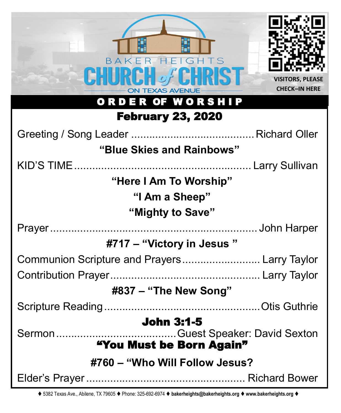| HEIGHTS<br>BAKFR<br><b>TEXAS AVENUE</b><br>ORDER OF WORSHIP                             | <b>VISITORS, PLEASE</b><br><b>CHECK-IN HERE</b> |  |
|-----------------------------------------------------------------------------------------|-------------------------------------------------|--|
| <b>February 23, 2020</b>                                                                |                                                 |  |
|                                                                                         |                                                 |  |
| "Blue Skies and Rainbows"                                                               |                                                 |  |
|                                                                                         |                                                 |  |
| "Here I Am To Worship"<br>"I Am a Sheep"<br>"Mighty to Save"                            |                                                 |  |
|                                                                                         |                                                 |  |
| #717 – "Victory in Jesus"                                                               |                                                 |  |
| Communion Scripture and Prayers Larry Taylor                                            |                                                 |  |
|                                                                                         |                                                 |  |
| #837 – "The New Song"                                                                   |                                                 |  |
|                                                                                         |                                                 |  |
| <b>John 3:1-5</b><br>.Guest Speaker: David Sexton<br>Sermon<br>"You Must be Born Again" |                                                 |  |
| #760 – "Who Will Follow Jesus?                                                          |                                                 |  |
|                                                                                         |                                                 |  |

⧫ 5382 Texas Ave., Abilene, TX 79605 ⧫ Phone: 325-692-6974 ⧫ **bakerheights@bakerheights.org** ⧫ **www.bakerheights.org** ⧫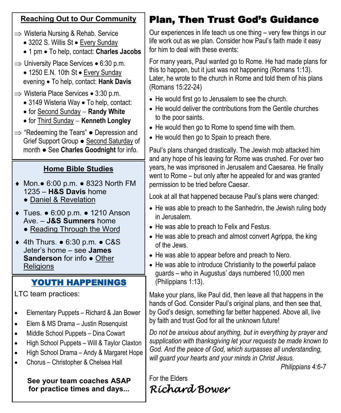### **Reaching Out to Our Community**

- $\Rightarrow$  Wisteria Nursing & Rehab. Service
	- 3202 S. Willis St Every Sunday
	- 1 pm To help, contact: **Charles Jacobs**
- $\Rightarrow$  University Place Services 6:30 p.m.
	- 1250 E.N. 10th St Every Sunday evening • To help, contact: **Hank Davis**
- $\Rightarrow$  Wisteria Place Services 3:30 p.m.
	- 3149 Wisteria Way To help, contact:
	- for Second Sunday − **Randy White**
	- for Third Sunday − **Kenneth Longley**
- $\Rightarrow$  "Redeeming the Tears"  $\bullet$  Depression and Grief Support Group ● Second Saturday of month ● See **Charles Goodnight** for info.

# **Home Bible Studies**

- Mon.● 6:00 p.m. 8323 North FM 1235 – **H&S Davis** home
	- Daniel & Revelation
- Tues. 6:00 p.m. 1210 Anson Ave. – **J&S Sumners** home
	- Reading Through the Word
- 4th Thurs. 6:30 p.m. C&S Jeter's home – see **James Sanderson** for info ● Other **Religions**

# YOUTH HAPPENINGS

LTC team practices:

- Elementary Puppets Richard & Jan Bower
- Elem & MS Drama Justin Rosenquist
- Middle School Puppets Dina Cowart
- High School Puppets Will & Taylor Claxton
- High School Drama Andy & Margaret Hope
- Chorus Christopher & Chelsea Hall

**See your team coaches ASAP for practice times and days...**

# Plan, Then Trust God's Guidance

Our experiences in life teach us one thing – very few things in our life work out as we plan. Consider how Paul's faith made it easy for him to deal with these events:

For many years, Paul wanted go to Rome. He had made plans for this to happen, but it just was not happening (Romans 1:13). Later, he wrote to the church in Rome and told them of his plans (Romans 15:22-24)

- He would first go to Jerusalem to see the church.
- He would deliver the contributions from the Gentile churches to the poor saints.
- He would then go to Rome to spend time with them.
- He would then go to Spain to preach there.

Paul's plans changed drastically. The Jewish mob attacked him and any hope of his leaving for Rome was crushed. For over two years, he was imprisoned in Jerusalem and Caesarea. He finally went to Rome – but only after he appealed for and was granted permission to be tried before Caesar.

Look at all that happened because Paul's plans were changed:

- He was able to preach to the Sanhedrin, the Jewish ruling body in Jerusalem.
- He was able to preach to Felix and Festus.
- He was able to preach and almost convert Agrippa, the king of the Jews.
- He was able to appear before and preach to Nero.
- He was able to introduce Christianity to the powerful palace guards – who in Augustus' days numbered 10,000 men (Philippians 1:13).

Make your plans, like Paul did, then leave all that happens in the hands of God. Consider Paul's original plans, and then see that, by God's design, something far better happened. Above all, live by faith and trust God for all the unknown future!

*Do not be anxious about anything, but in everything by prayer and supplication with thanksgiving let your requests be made known to God. And the peace of God, which surpasses all understanding, will guard your hearts and your minds in Christ Jesus.*

*Philippians 4:6-7*

For the Elders *Richard Bower*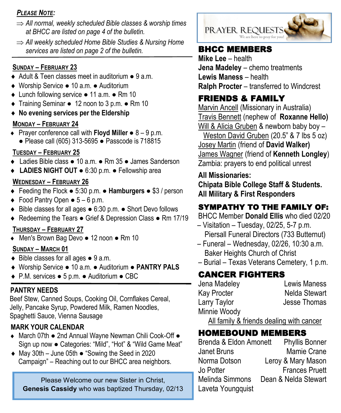#### *PLEASE NOTE:*

- *All normal, weekly scheduled Bible classes & worship times at BHCC are listed on page 4 of the bulletin.*
- *All weekly scheduled Home Bible Studies & Nursing Home*  services are listed on page 2 of the bulletin. **BHCC MEMBERS**

#### **SUNDAY – FEBRUARY 23**

- ◆ Adult & Teen classes meet in auditorium 9 a.m.
- Worship Service 10 a.m. Auditorium
- Lunch following service 11 a.m. Rm 10
- Training Seminar 12 noon to 3 p.m. Rm 10
- **No evening services per the Eldership**

### **MONDAY – FEBRUARY 24**

 Prayer conference call with **Floyd Miller** ● 8 – 9 p.m. ● Please call (605) 313-5695 ● Passcode is 718815

## **TUESDAY – FEBRUARY 25**

- Ladies Bible class 10 a.m. Rm 35 James Sanderson
- **LADIES NIGHT OUT**  6:30 p.m. Fellowship area

### **WEDNESDAY – FEBRUARY 26**

- Feeding the Flock 5:30 p.m. **Hamburgers**  \$3 / person
- $\bullet$  Food Pantry Open  $\bullet$  5 6 p.m.
- Bible classes for all ages 6:30 p.m. Short Devo follows
- ◆ Redeeming the Tears Grief & Depression Class Rm 17/19

### **THURSDAY – FEBRUARY 27**

Men's Brown Bag Devo ● 12 noon ● Rm 10

### **SUNDAY – MARCH 01**

- $\bullet$  Bible classes for all ages  $\bullet$  9 a.m.
- Worship Service 10 a.m. Auditorium **PANTRY PALS**
- P.M. services 5 p.m. Auditorium CBC

## **PANTRY NEEDS**

Beef Stew, Canned Soups, Cooking Oil, Cornflakes Cereal, Jelly, Pancake Syrup, Powdered Milk, Ramen Noodles, Spaghetti Sauce, Vienna Sausage

# **MARK YOUR CALENDAR**

- ◆ March 07th 2nd Annual Wayne Newman Chili Cook-Off Sign up now ● Categories: "Mild", "Hot" & "Wild Game Meat"
- May 30th June 05th "Sowing the Seed in 2020 Campaign" – Reaching out to our BHCC area neighbors.

Please Welcome our new Sister in Christ, **Genesis Cassidy** who was baptized Thursday, 02/13



**Mike Lee** – health **Jena Madeley** – chemo treatments **Lewis Maness** – health **Ralph Procter** – transferred to Windcrest

# FRIENDS & FAMILY

Marvin Ancell (Missionary in Australia) Travis Bennett (nephew of **Roxanne Hello)** Will & Alicia Gruben & newborn baby boy – Weston David Gruben (20.5" & 7 lbs 5 oz) Josey Martin (friend of **David Walker)** James Wagner (friend of **Kenneth Longley**) Zambia: prayers to end political unrest

# **All Missionaries:**

**Chipata Bible College Staff & Students. All Military & First Responders**

# SYMPATHY TO THE FAMILY OF:

BHCC Member **Donald Ellis** who died 02/20

- Visitation Tuesday, 02/25, 5-7 p.m. Piersall Funeral Directors (733 Butternut)
- Funeral Wednesday, 02/26, 10:30 a.m. Baker Heights Church of Christ
- Burial Texas Veterans Cemetery, 1 p.m.

# CANCER FIGHTERS

Jena Madeley Lewis Maness Kay Procter Nelda Stewart Larry Taylor **Jesse Thomas** Minnie Woody

All family & friends dealing with cancer

# HOMEBOUND MEMBERS

Brenda & Eldon Amonett Phyllis Bonner Janet Bruns Mamie Crane Norma Dotson Leroy & Mary Mason Jo Potter **Frances Pruett** Melinda Simmons Dean & Nelda Stewart Laveta Youngquist